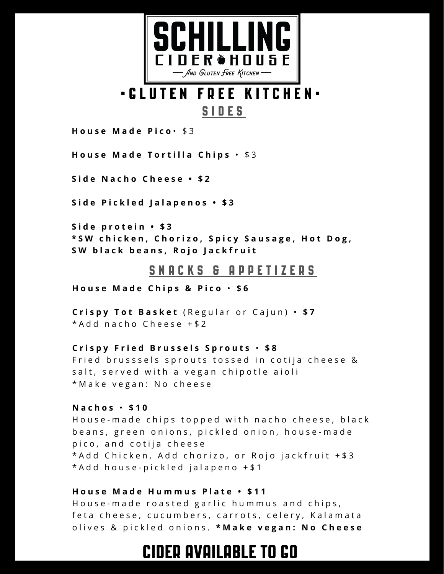

# • G L U T E N F R E E K I T C H E N • S I D E S

**H o u s e M a d e P i c o** • \$ 3

**House Made Tortilla Chips** • \$3

**S i d e N a c h o C h e e s e • \$ 2**

**S i d e P i c k l e d J a l a p e n o s • \$ 3**

**S i d e p r o t e i n • \$ 3** \*SW chicken, Chorizo, Spicy Sausage, Hot Dog, SW black beans, Rojo Jackfruit

# S N A C K S G A P P E T I Z E R S

**H o u s e M a d e C h i p s & P i c o** • **\$ 6**

**C r i s p y T o t B a s k e t** ( R e g u l a r o r C a j u n ) • **\$ 7**  $*Add$  nacho Cheese +\$2

#### Crispy Fried Brussels Sprouts . \$8

Fried brusssels sprouts tossed in cotija cheese & salt, served with a vegan chipotle aioli \* Make vegan: No cheese

#### **N a c h o s** • **\$ 1 0**

House-made chips topped with nacho cheese, black beans, green onions, pickled onion, house-made pico, and cotija cheese \* A d d C hicken, A d d c h o rizo, or Rojo jack fruit + \$ 3  $*$  Add house-pickled jalapeno  $+$  \$1

### **H o u s e M a d e H u m m u s P l a t e • \$ 1 1**

House-made roasted garlic hummus and chips, feta cheese, cucumbers, carrots, celery, Kalamata o l i v e s & p i c k l e d o n i o n s . **\* M a k e v e g a n : N o C h e e s e**

# CIDER AVAILABLE TO GO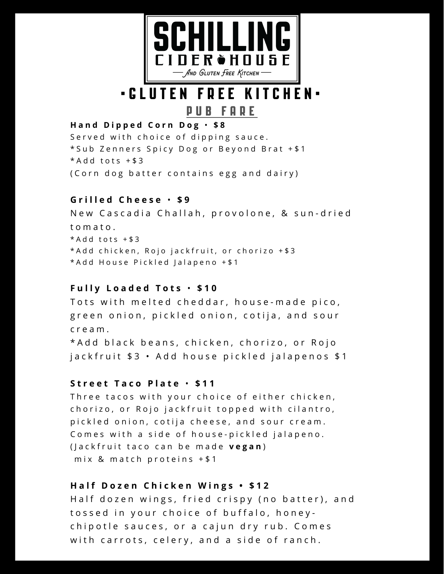

# • G L U T E N F R E E K I T C H E N •

### P U B F A R E

# **H a n d D i p p e d C o r n D o g** • **\$ 8**

Served with choice of dipping sauce. \* Sub Zenners Spicy Dog or Beyond Brat + \$1  $*Add$  tots  $+$  \$ 3 ( C o r n d o g b atter contains egg and dairy )

#### **G r i l l e d C h e e s e** • **\$ 9**

New Cascadia Challah, provolone, & sun-dried t o m a t o .  $*Add$  tots  $+$  \$3 \* Add chicken, Rojo jackfruit, or chorizo + \$3 \* Add House Pickled Jalapeno + \$1

#### **F u l l y L o a d e d T o t s** • **\$ 1 0**

Tots with melted cheddar, house-made pico, green onion, pickled onion, cotija, and sour c r e a m .

\* A d d b l a c k b e a n s, c h i c k e n, c h o r i z o, or R o j o jackfruit \$3 · Add house pickled jalapenos \$1

#### **S t r e e t T a c o P l a t e** • **\$ 1 1**

Three tacos with your choice of either chicken, chorizo, or Rojo jackfruit topped with cilantro, pickled onion, cotija cheese, and sour cream. Comes with a side of house-pickled jalapeno. (*Jackfruit taco can be made vegan*) mix & match proteins  $+ $1$ 

#### **H a l f D o z e n C h i c k e n W i n g s • \$ 1 2**

Half dozen wings, fried crispy (no batter), and tossed in your choice of buffalo, honeychipotle sauces, or a cajun dry rub. Comes with carrots, celery, and a side of ranch.